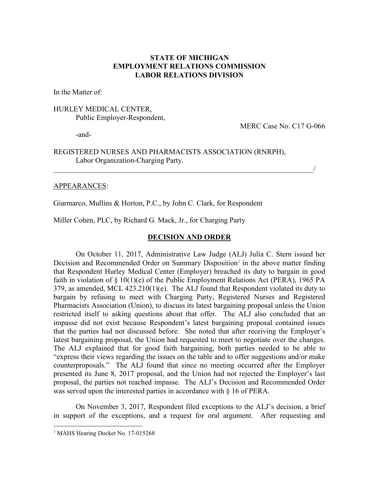## **STATE OF MICHIGAN EMPLOYMENT RELATIONS COMMISSION LABOR RELATIONS DIVISION**

In the Matter of:

## HURLEY MEDICAL CENTER, Public Employer-Respondent,

MERC Case No. C17 G-066

-and-

## REGISTERED NURSES AND PHARMACISTS ASSOCIATION (RNRPH), Labor Organization-Charging Party.

 $\overline{\phantom{a}}$ 

### APPEARANCES:

Giarmarco, Mullins & Horton, P.C., by John C. Clark, for Respondent

Miller Cohen, PLC, by Richard G. Mack, Jr., for Charging Party

### **DECISION AND ORDER**

On October 11, 2017, Administrative Law Judge (ALJ) Julia C. Stern issued her Decision and Recommended Order on Summary Disposition*[1](#page-0-0)* in the above matter finding that Respondent Hurley Medical Center (Employer) breached its duty to bargain in good faith in violation of § 10(1)(e) of the Public Employment Relations Act (PERA), 1965 PA 379, as amended, MCL 423.210(1)(e). The ALJ found that Respondent violated its duty to bargain by refusing to meet with Charging Party, Registered Nurses and Registered Pharmacists Association (Union), to discuss its latest bargaining proposal unless the Union restricted itself to asking questions about that offer. The ALJ also concluded that an impasse did not exist because Respondent's latest bargaining proposal contained issues that the parties had not discussed before. She noted that after receiving the Employer's latest bargaining proposal, the Union had requested to meet to negotiate over the changes. The ALJ explained that for good faith bargaining, both parties needed to be able to "express their views regarding the issues on the table and to offer suggestions and/or make counterproposals." The ALJ found that since no meeting occurred after the Employer presented its June 8, 2017 proposal, and the Union had not rejected the Employer's last proposal, the parties not reached impasse. The ALJ's Decision and Recommended Order was served upon the interested parties in accordance with § 16 of PERA.

On November 3, 2017, Respondent filed exceptions to the ALJ's decision, a brief in support of the exceptions, and a request for oral argument. After requesting and

 $\overline{a}$ 

<span id="page-0-0"></span>*<sup>1</sup>* MAHS Hearing Docket No. 17-015268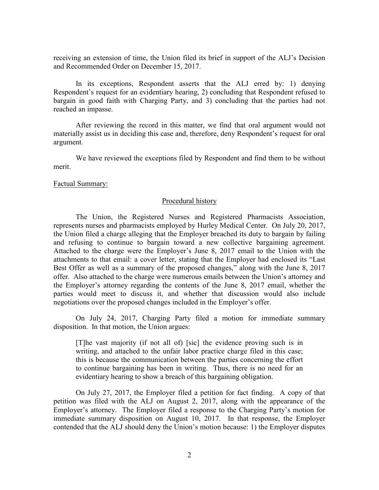receiving an extension of time, the Union filed its brief in support of the ALJ's Decision and Recommended Order on December 15, 2017.

In its exceptions, Respondent asserts that the ALJ erred by: 1) denying Respondent's request for an evidentiary hearing, 2) concluding that Respondent refused to bargain in good faith with Charging Party, and 3) concluding that the parties had not reached an impasse.

After reviewing the record in this matter, we find that oral argument would not materially assist us in deciding this case and, therefore, deny Respondent's request for oral argument.

We have reviewed the exceptions filed by Respondent and find them to be without merit.

#### Factual Summary:

### Procedural history

The Union, the Registered Nurses and Registered Pharmacists Association, represents nurses and pharmacists employed by Hurley Medical Center. On July 20, 2017, the Union filed a charge alleging that the Employer breached its duty to bargain by failing and refusing to continue to bargain toward a new collective bargaining agreement. Attached to the charge were the Employer's June 8, 2017 email to the Union with the attachments to that email: a cover letter, stating that the Employer had enclosed its "Last Best Offer as well as a summary of the proposed changes," along with the June 8, 2017 offer. Also attached to the charge were numerous emails between the Union's attorney and the Employer's attorney regarding the contents of the June 8, 2017 email, whether the parties would meet to discuss it, and whether that discussion would also include negotiations over the proposed changes included in the Employer's offer.

On July 24, 2017, Charging Party filed a motion for immediate summary disposition. In that motion, the Union argues:

[T]he vast majority (if not all of) [sic] the evidence proving such is in writing, and attached to the unfair labor practice charge filed in this case; this is because the communication between the parties concerning the effort to continue bargaining has been in writing. Thus, there is no need for an evidentiary hearing to show a breach of this bargaining obligation.

On July 27, 2017, the Employer filed a petition for fact finding. A copy of that petition was filed with the ALJ on August 2, 2017, along with the appearance of the Employer's attorney. The Employer filed a response to the Charging Party's motion for immediate summary disposition on August 10, 2017. In that response, the Employer contended that the ALJ should deny the Union's motion because: 1) the Employer disputes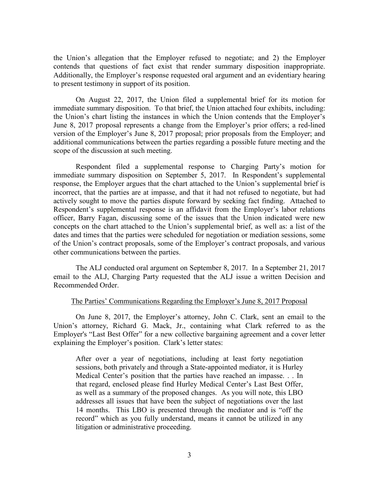the Union's allegation that the Employer refused to negotiate; and 2) the Employer contends that questions of fact exist that render summary disposition inappropriate. Additionally, the Employer's response requested oral argument and an evidentiary hearing to present testimony in support of its position.

On August 22, 2017, the Union filed a supplemental brief for its motion for immediate summary disposition. To that brief, the Union attached four exhibits, including: the Union's chart listing the instances in which the Union contends that the Employer's June 8, 2017 proposal represents a change from the Employer's prior offers; a red-lined version of the Employer's June 8, 2017 proposal; prior proposals from the Employer; and additional communications between the parties regarding a possible future meeting and the scope of the discussion at such meeting.

Respondent filed a supplemental response to Charging Party's motion for immediate summary disposition on September 5, 2017. In Respondent's supplemental response, the Employer argues that the chart attached to the Union's supplemental brief is incorrect, that the parties are at impasse, and that it had not refused to negotiate, but had actively sought to move the parties dispute forward by seeking fact finding. Attached to Respondent's supplemental response is an affidavit from the Employer's labor relations officer, Barry Fagan, discussing some of the issues that the Union indicated were new concepts on the chart attached to the Union's supplemental brief, as well as: a list of the dates and times that the parties were scheduled for negotiation or mediation sessions, some of the Union's contract proposals, some of the Employer's contract proposals, and various other communications between the parties.

The ALJ conducted oral argument on September 8, 2017. In a September 21, 2017 email to the ALJ, Charging Party requested that the ALJ issue a written Decision and Recommended Order.

#### The Parties' Communications Regarding the Employer's June 8, 2017 Proposal

On June 8, 2017, the Employer's attorney, John C. Clark, sent an email to the Union's attorney, Richard G. Mack, Jr., containing what Clark referred to as the Employer's "Last Best Offer" for a new collective bargaining agreement and a cover letter explaining the Employer's position. Clark's letter states:

After over a year of negotiations, including at least forty negotiation sessions, both privately and through a State-appointed mediator, it is Hurley Medical Center's position that the parties have reached an impasse. . . In that regard, enclosed please find Hurley Medical Center's Last Best Offer, as well as a summary of the proposed changes. As you will note, this LBO addresses all issues that have been the subject of negotiations over the last 14 months. This LBO is presented through the mediator and is "off the record" which as you fully understand, means it cannot be utilized in any litigation or administrative proceeding.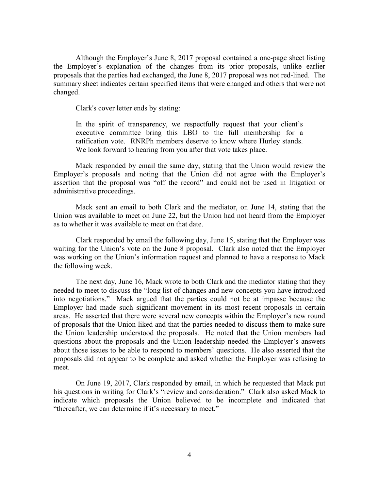Although the Employer's June 8, 2017 proposal contained a one-page sheet listing the Employer's explanation of the changes from its prior proposals, unlike earlier proposals that the parties had exchanged, the June 8, 2017 proposal was not red-lined. The summary sheet indicates certain specified items that were changed and others that were not changed.

Clark's cover letter ends by stating:

In the spirit of transparency, we respectfully request that your client's executive committee bring this LBO to the full membership for a ratification vote. RNRPh members deserve to know where Hurley stands. We look forward to hearing from you after that vote takes place.

Mack responded by email the same day, stating that the Union would review the Employer's proposals and noting that the Union did not agree with the Employer's assertion that the proposal was "off the record" and could not be used in litigation or administrative proceedings.

Mack sent an email to both Clark and the mediator, on June 14, stating that the Union was available to meet on June 22, but the Union had not heard from the Employer as to whether it was available to meet on that date.

Clark responded by email the following day, June 15, stating that the Employer was waiting for the Union's vote on the June 8 proposal. Clark also noted that the Employer was working on the Union's information request and planned to have a response to Mack the following week.

The next day, June 16, Mack wrote to both Clark and the mediator stating that they needed to meet to discuss the "long list of changes and new concepts you have introduced into negotiations." Mack argued that the parties could not be at impasse because the Employer had made such significant movement in its most recent proposals in certain areas. He asserted that there were several new concepts within the Employer's new round of proposals that the Union liked and that the parties needed to discuss them to make sure the Union leadership understood the proposals. He noted that the Union members had questions about the proposals and the Union leadership needed the Employer's answers about those issues to be able to respond to members' questions. He also asserted that the proposals did not appear to be complete and asked whether the Employer was refusing to meet.

On June 19, 2017, Clark responded by email, in which he requested that Mack put his questions in writing for Clark's "review and consideration." Clark also asked Mack to indicate which proposals the Union believed to be incomplete and indicated that "thereafter, we can determine if it's necessary to meet."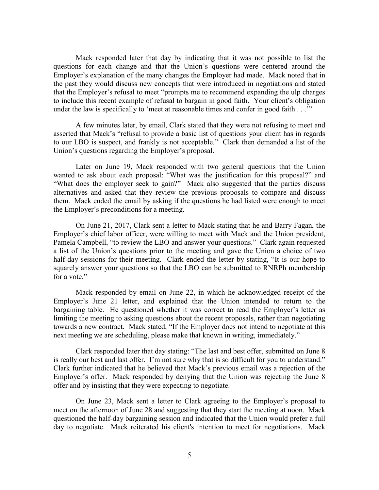Mack responded later that day by indicating that it was not possible to list the questions for each change and that the Union's questions were centered around the Employer's explanation of the many changes the Employer had made. Mack noted that in the past they would discuss new concepts that were introduced in negotiations and stated that the Employer's refusal to meet "prompts me to recommend expanding the ulp charges to include this recent example of refusal to bargain in good faith. Your client's obligation under the law is specifically to 'meet at reasonable times and confer in good faith . . .'"

A few minutes later, by email, Clark stated that they were not refusing to meet and asserted that Mack's "refusal to provide a basic list of questions your client has in regards to our LBO is suspect, and frankly is not acceptable." Clark then demanded a list of the Union's questions regarding the Employer's proposal.

Later on June 19, Mack responded with two general questions that the Union wanted to ask about each proposal: "What was the justification for this proposal?" and "What does the employer seek to gain?" Mack also suggested that the parties discuss alternatives and asked that they review the previous proposals to compare and discuss them. Mack ended the email by asking if the questions he had listed were enough to meet the Employer's preconditions for a meeting.

On June 21, 2017, Clark sent a letter to Mack stating that he and Barry Fagan, the Employer's chief labor officer, were willing to meet with Mack and the Union president, Pamela Campbell, "to review the LBO and answer your questions." Clark again requested a list of the Union's questions prior to the meeting and gave the Union a choice of two half-day sessions for their meeting. Clark ended the letter by stating, "It is our hope to squarely answer your questions so that the LBO can be submitted to RNRPh membership for a vote."

Mack responded by email on June 22, in which he acknowledged receipt of the Employer's June 21 letter, and explained that the Union intended to return to the bargaining table. He questioned whether it was correct to read the Employer's letter as limiting the meeting to asking questions about the recent proposals, rather than negotiating towards a new contract. Mack stated, "If the Employer does not intend to negotiate at this next meeting we are scheduling, please make that known in writing, immediately."

Clark responded later that day stating: "The last and best offer, submitted on June 8 is really our best and last offer. I'm not sure why that is so difficult for you to understand." Clark further indicated that he believed that Mack's previous email was a rejection of the Employer's offer. Mack responded by denying that the Union was rejecting the June 8 offer and by insisting that they were expecting to negotiate.

On June 23, Mack sent a letter to Clark agreeing to the Employer's proposal to meet on the afternoon of June 28 and suggesting that they start the meeting at noon. Mack questioned the half-day bargaining session and indicated that the Union would prefer a full day to negotiate. Mack reiterated his client's intention to meet for negotiations. Mack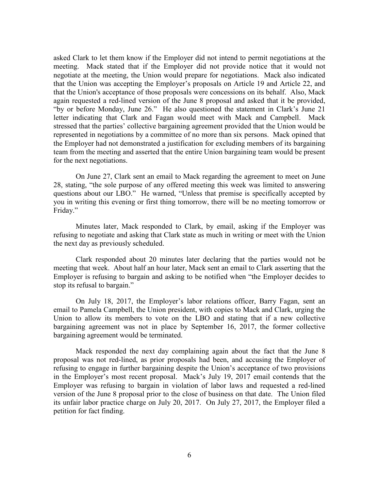asked Clark to let them know if the Employer did not intend to permit negotiations at the meeting. Mack stated that if the Employer did not provide notice that it would not negotiate at the meeting, the Union would prepare for negotiations. Mack also indicated that the Union was accepting the Employer's proposals on Article 19 and Article 22, and that the Union's acceptance of those proposals were concessions on its behalf. Also, Mack again requested a red-lined version of the June 8 proposal and asked that it be provided, "by or before Monday, June 26." He also questioned the statement in Clark's June 21 letter indicating that Clark and Fagan would meet with Mack and Campbell. Mack stressed that the parties' collective bargaining agreement provided that the Union would be represented in negotiations by a committee of no more than six persons. Mack opined that the Employer had not demonstrated a justification for excluding members of its bargaining team from the meeting and asserted that the entire Union bargaining team would be present for the next negotiations.

On June 27, Clark sent an email to Mack regarding the agreement to meet on June 28, stating, "the sole purpose of any offered meeting this week was limited to answering questions about our LBO." He warned, "Unless that premise is specifically accepted by you in writing this evening or first thing tomorrow, there will be no meeting tomorrow or Friday."

Minutes later, Mack responded to Clark, by email, asking if the Employer was refusing to negotiate and asking that Clark state as much in writing or meet with the Union the next day as previously scheduled.

Clark responded about 20 minutes later declaring that the parties would not be meeting that week. About half an hour later, Mack sent an email to Clark asserting that the Employer is refusing to bargain and asking to be notified when "the Employer decides to stop its refusal to bargain."

On July 18, 2017, the Employer's labor relations officer, Barry Fagan, sent an email to Pamela Campbell, the Union president, with copies to Mack and Clark, urging the Union to allow its members to vote on the LBO and stating that if a new collective bargaining agreement was not in place by September 16, 2017, the former collective bargaining agreement would be terminated.

Mack responded the next day complaining again about the fact that the June 8 proposal was not red-lined, as prior proposals had been, and accusing the Employer of refusing to engage in further bargaining despite the Union's acceptance of two provisions in the Employer's most recent proposal. Mack's July 19, 2017 email contends that the Employer was refusing to bargain in violation of labor laws and requested a red-lined version of the June 8 proposal prior to the close of business on that date. The Union filed its unfair labor practice charge on July 20, 2017. On July 27, 2017, the Employer filed a petition for fact finding.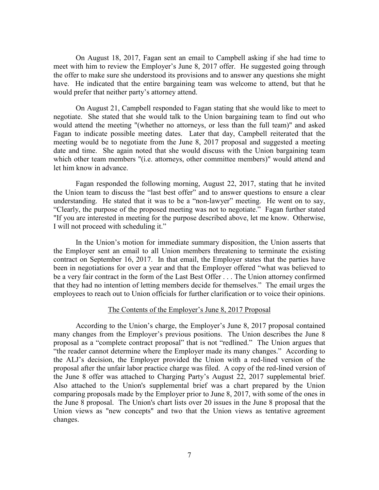On August 18, 2017, Fagan sent an email to Campbell asking if she had time to meet with him to review the Employer's June 8, 2017 offer. He suggested going through the offer to make sure she understood its provisions and to answer any questions she might have. He indicated that the entire bargaining team was welcome to attend, but that he would prefer that neither party's attorney attend.

On August 21, Campbell responded to Fagan stating that she would like to meet to negotiate. She stated that she would talk to the Union bargaining team to find out who would attend the meeting "(whether no attorneys, or less than the full team)" and asked Fagan to indicate possible meeting dates. Later that day, Campbell reiterated that the meeting would be to negotiate from the June 8, 2017 proposal and suggested a meeting date and time. She again noted that she would discuss with the Union bargaining team which other team members "(i.e. attorneys, other committee members)" would attend and let him know in advance.

Fagan responded the following morning, August 22, 2017, stating that he invited the Union team to discuss the "last best offer" and to answer questions to ensure a clear understanding. He stated that it was to be a "non-lawyer" meeting. He went on to say, "Clearly, the purpose of the proposed meeting was not to negotiate." Fagan further stated "If you are interested in meeting for the purpose described above, let me know. Otherwise, I will not proceed with scheduling it."

In the Union's motion for immediate summary disposition, the Union asserts that the Employer sent an email to all Union members threatening to terminate the existing contract on September 16, 2017. In that email, the Employer states that the parties have been in negotiations for over a year and that the Employer offered "what was believed to be a very fair contract in the form of the Last Best Offer . . . The Union attorney confirmed that they had no intention of letting members decide for themselves." The email urges the employees to reach out to Union officials for further clarification or to voice their opinions.

#### The Contents of the Employer's June 8, 2017 Proposal

According to the Union's charge, the Employer's June 8, 2017 proposal contained many changes from the Employer's previous positions. The Union describes the June 8 proposal as a "complete contract proposal" that is not "redlined." The Union argues that "the reader cannot determine where the Employer made its many changes." According to the ALJ's decision, the Employer provided the Union with a red-lined version of the proposal after the unfair labor practice charge was filed. A copy of the red-lined version of the June 8 offer was attached to Charging Party's August 22, 2017 supplemental brief. Also attached to the Union's supplemental brief was a chart prepared by the Union comparing proposals made by the Employer prior to June 8, 2017, with some of the ones in the June 8 proposal. The Union's chart lists over 20 issues in the June 8 proposal that the Union views as "new concepts" and two that the Union views as tentative agreement changes.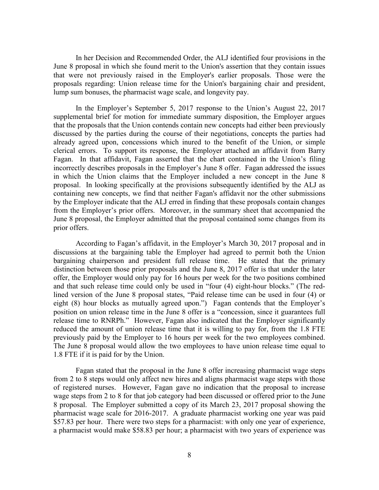In her Decision and Recommended Order, the ALJ identified four provisions in the June 8 proposal in which she found merit to the Union's assertion that they contain issues that were not previously raised in the Employer's earlier proposals. Those were the proposals regarding: Union release time for the Union's bargaining chair and president, lump sum bonuses, the pharmacist wage scale, and longevity pay.

In the Employer's September 5, 2017 response to the Union's August 22, 2017 supplemental brief for motion for immediate summary disposition, the Employer argues that the proposals that the Union contends contain new concepts had either been previously discussed by the parties during the course of their negotiations, concepts the parties had already agreed upon, concessions which inured to the benefit of the Union, or simple clerical errors. To support its response, the Employer attached an affidavit from Barry Fagan. In that affidavit, Fagan asserted that the chart contained in the Union's filing incorrectly describes proposals in the Employer's June 8 offer. Fagan addressed the issues in which the Union claims that the Employer included a new concept in the June 8 proposal. In looking specifically at the provisions subsequently identified by the ALJ as containing new concepts, we find that neither Fagan's affidavit nor the other submissions by the Employer indicate that the ALJ erred in finding that these proposals contain changes from the Employer's prior offers. Moreover, in the summary sheet that accompanied the June 8 proposal, the Employer admitted that the proposal contained some changes from its prior offers.

According to Fagan's affidavit, in the Employer's March 30, 2017 proposal and in discussions at the bargaining table the Employer had agreed to permit both the Union bargaining chairperson and president full release time. He stated that the primary distinction between those prior proposals and the June 8, 2017 offer is that under the later offer, the Employer would only pay for 16 hours per week for the two positions combined and that such release time could only be used in "four (4) eight-hour blocks." (The redlined version of the June 8 proposal states, "Paid release time can be used in four (4) or eight (8) hour blocks as mutually agreed upon.") Fagan contends that the Employer's position on union release time in the June 8 offer is a "concession, since it guarantees full release time to RNRPh." However, Fagan also indicated that the Employer significantly reduced the amount of union release time that it is willing to pay for, from the 1.8 FTE previously paid by the Employer to 16 hours per week for the two employees combined. The June 8 proposal would allow the two employees to have union release time equal to 1.8 FTE if it is paid for by the Union.

Fagan stated that the proposal in the June 8 offer increasing pharmacist wage steps from 2 to 8 steps would only affect new hires and aligns pharmacist wage steps with those of registered nurses. However, Fagan gave no indication that the proposal to increase wage steps from 2 to 8 for that job category had been discussed or offered prior to the June 8 proposal. The Employer submitted a copy of its March 23, 2017 proposal showing the pharmacist wage scale for 2016-2017. A graduate pharmacist working one year was paid \$57.83 per hour. There were two steps for a pharmacist: with only one year of experience, a pharmacist would make \$58.83 per hour; a pharmacist with two years of experience was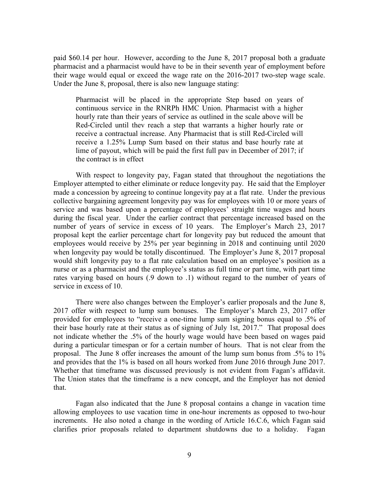paid \$60.14 per hour. However, according to the June 8, 2017 proposal both a graduate pharmacist and a pharmacist would have to be in their seventh year of employment before their wage would equal or exceed the wage rate on the 2016-2017 two-step wage scale. Under the June 8, proposal, there is also new language stating:

Pharmacist will be placed in the appropriate Step based on years of continuous service in the RNRPh HMC Union. Pharmacist with a higher hourly rate than their years of service as outlined in the scale above will be Red-Circled until thev reach a step that warrants a higher hourly rate or receive a contractual increase. Any Pharmacist that is still Red-Circled will receive a 1.25% Lump Sum based on their status and base hourly rate at lime of payout, which will be paid the first full pav in December of 2017; if the contract is in effect

With respect to longevity pay, Fagan stated that throughout the negotiations the Employer attempted to either eliminate or reduce longevity pay. He said that the Employer made a concession by agreeing to continue longevity pay at a flat rate. Under the previous collective bargaining agreement longevity pay was for employees with 10 or more years of service and was based upon a percentage of employees' straight time wages and hours during the fiscal year. Under the earlier contract that percentage increased based on the number of years of service in excess of 10 years. The Employer's March 23, 2017 proposal kept the earlier percentage chart for longevity pay but reduced the amount that employees would receive by 25% per year beginning in 2018 and continuing until 2020 when longevity pay would be totally discontinued. The Employer's June 8, 2017 proposal would shift longevity pay to a flat rate calculation based on an employee's position as a nurse or as a pharmacist and the employee's status as full time or part time, with part time rates varying based on hours (.9 down to .1) without regard to the number of years of service in excess of 10.

There were also changes between the Employer's earlier proposals and the June 8, 2017 offer with respect to lump sum bonuses. The Employer's March 23, 2017 offer provided for employees to "receive a one-time lump sum signing bonus equal to .5% of their base hourly rate at their status as of signing of July 1st, 2017." That proposal does not indicate whether the .5% of the hourly wage would have been based on wages paid during a particular timespan or for a certain number of hours. That is not clear from the proposal. The June 8 offer increases the amount of the lump sum bonus from .5% to 1% and provides that the 1% is based on all hours worked from June 2016 through June 2017. Whether that timeframe was discussed previously is not evident from Fagan's affidavit. The Union states that the timeframe is a new concept, and the Employer has not denied that.

Fagan also indicated that the June 8 proposal contains a change in vacation time allowing employees to use vacation time in one-hour increments as opposed to two-hour increments. He also noted a change in the wording of Article 16.C.6, which Fagan said clarifies prior proposals related to department shutdowns due to a holiday. Fagan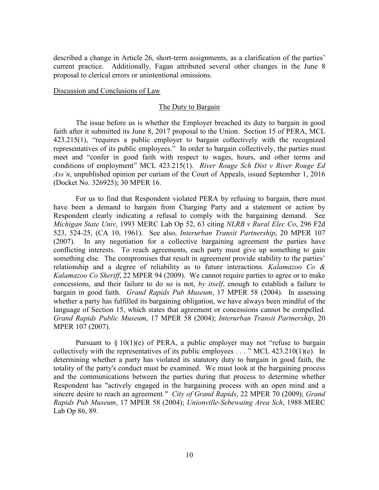described a change in Article 26, short-term assignments, as a clarification of the parties' current practice. Additionally, Fagan attributed several other changes in the June 8 proposal to clerical errors or unintentional omissions.

#### Discussion and Conclusions of Law

#### The Duty to Bargain

The issue before us is whether the Employer breached its duty to bargain in good faith after it submitted its June 8, 2017 proposal to the Union. Section 15 of PERA, MCL 423.215(1), "requires a public employer to bargain collectively with the recognized representatives of its public employees." In order to bargain collectively, the parties must meet and "confer in good faith with respect to wages, hours, and other terms and conditions of employment" MCL 423.215(1). *River Rouge Sch Dist v River Rouge Ed Ass'n*, unpublished opinion per curiam of the Court of Appeals, issued September 1, 2016 (Docket No. 326925); 30 MPER 16.

For us to find that Respondent violated PERA by refusing to bargain, there must have been a demand to bargain from Charging Party and a statement or action by Respondent clearly indicating a refusal to comply with the bargaining demand. See *Michigan State Univ*, 1993 MERC Lab Op 52, 63 citing *NLRB v Rural Elec Co*, 296 F2d 523, 524-25, (CA 10, 1961). See also, *Interurban Transit Partnership*, 20 MPER 107 (2007). In any negotiation for a collective bargaining agreement the parties have conflicting interests. To reach agreements, each party must give up something to gain something else. The compromises that result in agreement provide stability to the parties' relationship and a degree of reliability as to future interactions. *Kalamazoo Co & Kalamazoo Co Sheriff*, 22 MPER 94 (2009). We cannot require parties to agree or to make concessions, and their failure to do so is not, *by itself*, enough to establish a failure to bargain in good faith. *Grand Rapids Pub Museum*, 17 MPER 58 (2004). In assessing whether a party has fulfilled its bargaining obligation, we have always been mindful of the language of Section 15, which states that agreement or concessions cannot be compelled. *Grand Rapids Public Museum*, 17 MPER 58 (2004); *Interurban Transit Partnership*, 20 MPER 107 (2007).

Pursuant to  $\S 10(1)(e)$  of PERA, a public employer may not "refuse to bargain collectively with the representatives of its public employees . . . " MCL 423.210(1)(e). In determining whether a party has violated its statutory duty to bargain in good faith, the totality of the party's conduct must be examined. We must look at the bargaining process and the communications between the parties during that process to determine whether Respondent has "actively engaged in the bargaining process with an open mind and a sincere desire to reach an agreement*." City of Grand Rapids*, 22 MPER 70 (2009); *Grand Rapids Pub Museum*, 17 MPER 58 (2004); *Unionville-Sebewaing Area Sch*, 1988 MERC Lab Op 86, 89.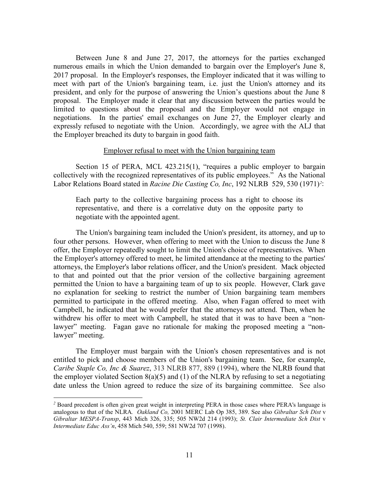Between June 8 and June 27, 2017, the attorneys for the parties exchanged numerous emails in which the Union demanded to bargain over the Employer's June 8, 2017 proposal. In the Employer's responses, the Employer indicated that it was willing to meet with part of the Union's bargaining team, i.e. just the Union's attorney and its president, and only for the purpose of answering the Union's questions about the June 8 proposal. The Employer made it clear that any discussion between the parties would be limited to questions about the proposal and the Employer would not engage in negotiations. In the parties' email exchanges on June 27, the Employer clearly and expressly refused to negotiate with the Union. Accordingly, we agree with the ALJ that the Employer breached its duty to bargain in good faith.

#### Employer refusal to meet with the Union bargaining team

Section 15 of PERA, MCL 423.215(1), "requires a public employer to bargain collectively with the recognized representatives of its public employees." As the National Labor Relations Board stated in *Racine Die Casting Co, Inc*, 192 NLRB 529, 530 (1971)*[2](#page-10-0)* :

Each party to the collective bargaining process has a right to choose its representative, and there is a correlative duty on the opposite party to negotiate with the appointed agent.

The Union's bargaining team included the Union's president, its attorney, and up to four other persons. However, when offering to meet with the Union to discuss the June 8 offer, the Employer repeatedly sought to limit the Union's choice of representatives. When the Employer's attorney offered to meet, he limited attendance at the meeting to the parties' attorneys, the Employer's labor relations officer, and the Union's president. Mack objected to that and pointed out that the prior version of the collective bargaining agreement permitted the Union to have a bargaining team of up to six people. However, Clark gave no explanation for seeking to restrict the number of Union bargaining team members permitted to participate in the offered meeting. Also, when Fagan offered to meet with Campbell, he indicated that he would prefer that the attorneys not attend. Then, when he withdrew his offer to meet with Campbell, he stated that it was to have been a "nonlawyer" meeting. Fagan gave no rationale for making the proposed meeting a "nonlawyer" meeting.

The Employer must bargain with the Union's chosen representatives and is not entitled to pick and choose members of the Union's bargaining team. See, for example, *Caribe Staple Co, Inc & Suarez*, 313 NLRB 877, 889 (1994), where the NLRB found that the employer violated Section  $8(a)(5)$  and (1) of the NLRA by refusing to set a negotiating date unless the Union agreed to reduce the size of its bargaining committee. See also

 $\overline{a}$ 

<span id="page-10-0"></span>*<sup>2</sup>* Board precedent is often given great weight in interpreting PERA in those cases where PERA's language is analogous to that of the NLRA*. Oakland Co,* 2001 MERC Lab Op 385, 389. See also *Gibraltar Sch Dist* v *Gibraltar MESPA-Transp*, 443 Mich 326, 335; 505 NW2d 214 (1993); *St. Clair Intermediate Sch Dist* v *Intermediate Educ Ass'n*, 458 Mich 540, 559; 581 NW2d 707 (1998).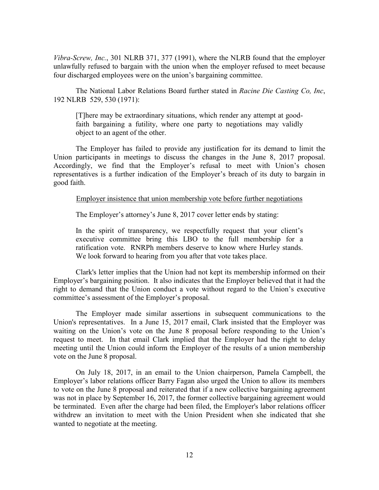*Vibra-Screw, Inc.*, 301 NLRB 371, 377 (1991), where the NLRB found that the employer unlawfully refused to bargain with the union when the employer refused to meet because four discharged employees were on the union's bargaining committee.

The National Labor Relations Board further stated in *Racine Die Casting Co, Inc*, 192 NLRB 529, 530 (1971):

[T]here may be extraordinary situations, which render any attempt at goodfaith bargaining a futility, where one party to negotiations may validly object to an agent of the other.

The Employer has failed to provide any justification for its demand to limit the Union participants in meetings to discuss the changes in the June 8, 2017 proposal. Accordingly, we find that the Employer's refusal to meet with Union's chosen representatives is a further indication of the Employer's breach of its duty to bargain in good faith.

### Employer insistence that union membership vote before further negotiations

The Employer's attorney's June 8, 2017 cover letter ends by stating:

In the spirit of transparency, we respectfully request that your client's executive committee bring this LBO to the full membership for a ratification vote. RNRPh members deserve to know where Hurley stands. We look forward to hearing from you after that vote takes place.

Clark's letter implies that the Union had not kept its membership informed on their Employer's bargaining position. It also indicates that the Employer believed that it had the right to demand that the Union conduct a vote without regard to the Union's executive committee's assessment of the Employer's proposal.

The Employer made similar assertions in subsequent communications to the Union's representatives. In a June 15, 2017 email, Clark insisted that the Employer was waiting on the Union's vote on the June 8 proposal before responding to the Union's request to meet. In that email Clark implied that the Employer had the right to delay meeting until the Union could inform the Employer of the results of a union membership vote on the June 8 proposal.

On July 18, 2017, in an email to the Union chairperson, Pamela Campbell, the Employer's labor relations officer Barry Fagan also urged the Union to allow its members to vote on the June 8 proposal and reiterated that if a new collective bargaining agreement was not in place by September 16, 2017, the former collective bargaining agreement would be terminated. Even after the charge had been filed, the Employer's labor relations officer withdrew an invitation to meet with the Union President when she indicated that she wanted to negotiate at the meeting.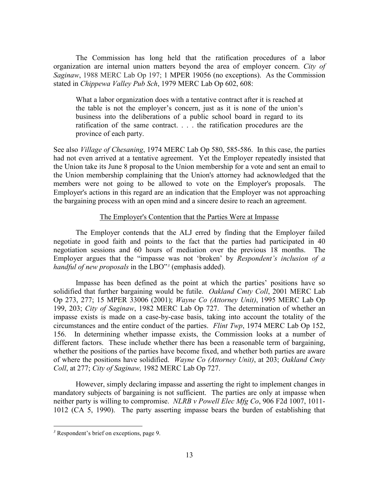The Commission has long held that the ratification procedures of a labor organization are internal union matters beyond the area of employer concern. *City of Saginaw*, 1988 MERC Lab Op 197; 1 MPER 19056 (no exceptions). As the Commission stated in *Chippewa Valley Pub Sch*, 1979 MERC Lab Op 602, 608:

What a labor organization does with a tentative contract after it is reached at the table is not the employer's concern, just as it is none of the union's business into the deliberations of a public school board in regard to its ratification of the same contract. . . . the ratification procedures are the province of each party.

See also *Village of Chesaning*, 1974 MERC Lab Op 580, 585-586. In this case, the parties had not even arrived at a tentative agreement. Yet the Employer repeatedly insisted that the Union take its June 8 proposal to the Union membership for a vote and sent an email to the Union membership complaining that the Union's attorney had acknowledged that the members were not going to be allowed to vote on the Employer's proposals. The Employer's actions in this regard are an indication that the Employer was not approaching the bargaining process with an open mind and a sincere desire to reach an agreement.

### The Employer's Contention that the Parties Were at Impasse

The Employer contends that the ALJ erred by finding that the Employer failed negotiate in good faith and points to the fact that the parties had participated in 40 negotiation sessions and 60 hours of mediation over the previous 18 months. The Employer argues that the "impasse was not 'broken' by *Respondent's inclusion of a handful of new proposals* in the LBO"*[3](#page-12-0)* (emphasis added).

Impasse has been defined as the point at which the parties' positions have so solidified that further bargaining would be futile. *Oakland Cmty Coll*, 2001 MERC Lab Op 273, 277; 15 MPER 33006 (2001); *Wayne Co (Attorney Unit)*, 1995 MERC Lab Op 199, 203; *City of Saginaw*, 1982 MERC Lab Op 727. The determination of whether an impasse exists is made on a case-by-case basis, taking into account the totality of the circumstances and the entire conduct of the parties. *Flint Twp*, 1974 MERC Lab Op 152, 156. In determining whether impasse exists, the Commission looks at a number of different factors. These include whether there has been a reasonable term of bargaining, whether the positions of the parties have become fixed, and whether both parties are aware of where the positions have solidified. *Wayne Co (Attorney Unit)*, at 203; *Oakland Cmty Coll*, at 277; *City of Saginaw,* 1982 MERC Lab Op 727.

However, simply declaring impasse and asserting the right to implement changes in mandatory subjects of bargaining is not sufficient. The parties are only at impasse when neither party is willing to compromise. *NLRB v Powell Elec Mfg Co*, 906 F2d 1007, 1011- 1012 (CA 5, 1990). The party asserting impasse bears the burden of establishing that

 $\overline{a}$ 

<span id="page-12-0"></span>*<sup>3</sup>* Respondent's brief on exceptions, page 9.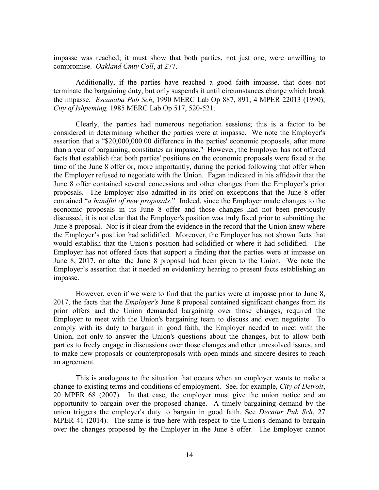impasse was reached; it must show that both parties, not just one, were unwilling to compromise. *Oakland Cmty Coll*, at 277.

Additionally, if the parties have reached a good faith impasse, that does not terminate the bargaining duty, but only suspends it until circumstances change which break the impasse. *Escanaba Pub Sch*, 1990 MERC Lab Op 887, 891; 4 MPER 22013 (1990); *City of Ishpeming,* 1985 MERC Lab Op 517, 520-521.

Clearly, the parties had numerous negotiation sessions; this is a factor to be considered in determining whether the parties were at impasse. We note the Employer's assertion that a "\$20,000,000.00 difference in the parties' economic proposals, after more than a year of bargaining, constitutes an impasse." However, the Employer has not offered facts that establish that both parties' positions on the economic proposals were fixed at the time of the June 8 offer or, more importantly, during the period following that offer when the Employer refused to negotiate with the Union. Fagan indicated in his affidavit that the June 8 offer contained several concessions and other changes from the Employer's prior proposals. The Employer also admitted in its brief on exceptions that the June 8 offer contained "*a handful of new proposals*." Indeed, since the Employer made changes to the economic proposals in its June 8 offer and those changes had not been previously discussed, it is not clear that the Employer's position was truly fixed prior to submitting the June 8 proposal. Nor is it clear from the evidence in the record that the Union knew where the Employer's position had solidified. Moreover, the Employer has not shown facts that would establish that the Union's position had solidified or where it had solidified. The Employer has not offered facts that support a finding that the parties were at impasse on June 8, 2017, or after the June 8 proposal had been given to the Union. We note the Employer's assertion that it needed an evidentiary hearing to present facts establishing an impasse.

However, even if we were to find that the parties were at impasse prior to June 8, 2017, the facts that the *Employer's* June 8 proposal contained significant changes from its prior offers and the Union demanded bargaining over those changes, required the Employer to meet with the Union's bargaining team to discuss and even negotiate. To comply with its duty to bargain in good faith, the Employer needed to meet with the Union, not only to answer the Union's questions about the changes, but to allow both parties to freely engage in discussions over those changes and other unresolved issues, and to make new proposals or counterproposals with open minds and sincere desires to reach an agreement*.*

This is analogous to the situation that occurs when an employer wants to make a change to existing terms and conditions of employment. See, for example, *City of Detroit*, 20 MPER 68 (2007). In that case, the employer must give the union notice and an opportunity to bargain over the proposed change. A timely bargaining demand by the union triggers the employer's duty to bargain in good faith. See *Decatur Pub Sch*, 27 MPER 41 (2014). The same is true here with respect to the Union's demand to bargain over the changes proposed by the Employer in the June 8 offer. The Employer cannot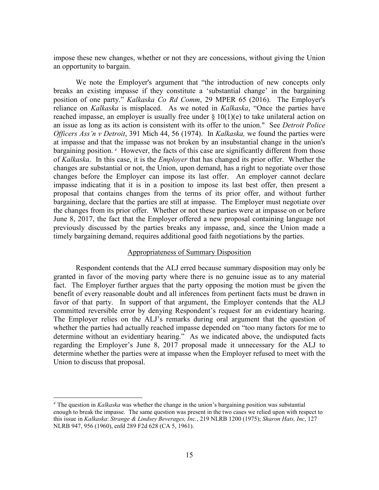impose these new changes, whether or not they are concessions, without giving the Union an opportunity to bargain.

We note the Employer's argument that "the introduction of new concepts only breaks an existing impasse if they constitute a 'substantial change' in the bargaining position of one party." *Kalkaska Co Rd Comm*, 29 MPER 65 (2016). The Employer's reliance on *Kalkaska* is misplaced. As we noted in *Kalkaska*, "Once the parties have reached impasse, an employer is usually free under  $\S 10(1)(e)$  to take unilateral action on an issue as long as its action is consistent with its offer to the union." See *Detroit Police Officers Ass'n v Detroit*, 391 Mich 44, 56 (1974). In *Kalkaska,* we found the parties were at impasse and that the impasse was not broken by an insubstantial change in the union's bargaining position. <sup>[4](#page-14-0)</sup> However, the facts of this case are significantly different from those of *Kalkaska*. In this case, it is the *Employer* that has changed its prior offer. Whether the changes are substantial or not, the Union, upon demand, has a right to negotiate over those changes before the Employer can impose its last offer. An employer cannot declare impasse indicating that it is in a position to impose its last best offer, then present a proposal that contains changes from the terms of its prior offer, and without further bargaining, declare that the parties are still at impasse. The Employer must negotiate over the changes from its prior offer. Whether or not these parties were at impasse on or before June 8, 2017, the fact that the Employer offered a new proposal containing language not previously discussed by the parties breaks any impasse, and, since the Union made a timely bargaining demand, requires additional good faith negotiations by the parties.

### Appropriateness of Summary Disposition

Respondent contends that the ALJ erred because summary disposition may only be granted in favor of the moving party where there is no genuine issue as to any material fact. The Employer further argues that the party opposing the motion must be given the benefit of every reasonable doubt and all inferences from pertinent facts must be drawn in favor of that party. In support of that argument, the Employer contends that the ALJ committed reversible error by denying Respondent's request for an evidentiary hearing. The Employer relies on the ALJ's remarks during oral argument that the question of whether the parties had actually reached impasse depended on "too many factors for me to determine without an evidentiary hearing." As we indicated above, the undisputed facts regarding the Employer's June 8, 2017 proposal made it unnecessary for the ALJ to determine whether the parties were at impasse when the Employer refused to meet with the Union to discuss that proposal.

 $\overline{a}$ 

<span id="page-14-0"></span>*<sup>4</sup>* The question in *Kalkaska* was whether the change in the union's bargaining position was substantial enough to break the impasse. The same question was present in the two cases we relied upon with respect to this issue in *Kalkaska*: *Strange & Lindsey Beverages, Inc.*, 219 NLRB 1200 (1975); *Sharon Hats, Inc*, 127 NLRB 947, 956 (1960), enfd 289 F2d 628 (CA 5, 1961).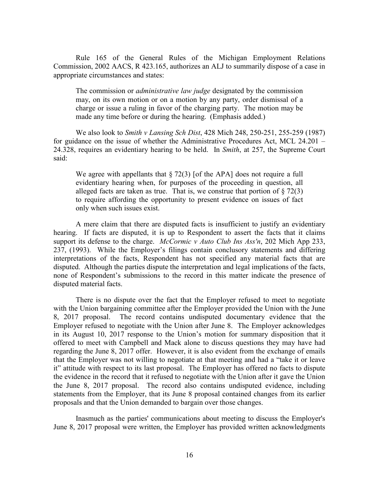Rule 165 of the General Rules of the Michigan Employment Relations Commission, 2002 AACS, R 423.165, authorizes an ALJ to summarily dispose of a case in appropriate circumstances and states:

The commission or *administrative law judge* designated by the commission may, on its own motion or on a motion by any party, order dismissal of a charge or issue a ruling in favor of the charging party. The motion may be made any time before or during the hearing. (Emphasis added.)

We also look to *Smith v Lansing Sch Dist*, 428 Mich 248, 250-251, 255-259 (1987) for guidance on the issue of whether the Administrative Procedures Act, MCL 24.201 – 24.328, requires an evidentiary hearing to be held. In *Smith*, at 257, the Supreme Court said:

We agree with appellants that  $\S 72(3)$  [of the APA] does not require a full evidentiary hearing when, for purposes of the proceeding in question, all alleged facts are taken as true. That is, we construe that portion of  $\S 72(3)$ to require affording the opportunity to present evidence on issues of fact only when such issues exist.

A mere claim that there are disputed facts is insufficient to justify an evidentiary hearing. If facts are disputed, it is up to Respondent to assert the facts that it claims support its defense to the charge. *McCormic v Auto Club Ins Ass'n*, 202 Mich App 233, 237, (1993). While the Employer's filings contain conclusory statements and differing interpretations of the facts, Respondent has not specified any material facts that are disputed. Although the parties dispute the interpretation and legal implications of the facts, none of Respondent's submissions to the record in this matter indicate the presence of disputed material facts.

There is no dispute over the fact that the Employer refused to meet to negotiate with the Union bargaining committee after the Employer provided the Union with the June 8, 2017 proposal. The record contains undisputed documentary evidence that the Employer refused to negotiate with the Union after June 8. The Employer acknowledges in its August 10, 2017 response to the Union's motion for summary disposition that it offered to meet with Campbell and Mack alone to discuss questions they may have had regarding the June 8, 2017 offer. However, it is also evident from the exchange of emails that the Employer was not willing to negotiate at that meeting and had a "take it or leave it" attitude with respect to its last proposal. The Employer has offered no facts to dispute the evidence in the record that it refused to negotiate with the Union after it gave the Union the June 8, 2017 proposal. The record also contains undisputed evidence, including statements from the Employer, that its June 8 proposal contained changes from its earlier proposals and that the Union demanded to bargain over those changes.

Inasmuch as the parties' communications about meeting to discuss the Employer's June 8, 2017 proposal were written, the Employer has provided written acknowledgments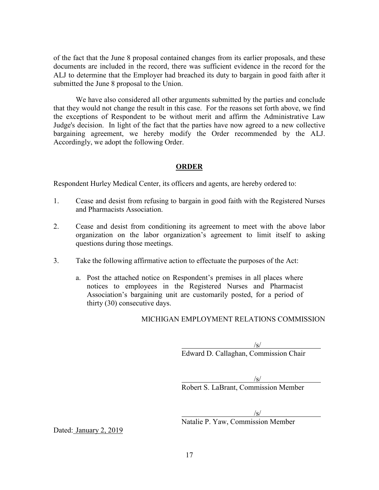of the fact that the June 8 proposal contained changes from its earlier proposals, and these documents are included in the record, there was sufficient evidence in the record for the ALJ to determine that the Employer had breached its duty to bargain in good faith after it submitted the June 8 proposal to the Union.

We have also considered all other arguments submitted by the parties and conclude that they would not change the result in this case. For the reasons set forth above, we find the exceptions of Respondent to be without merit and affirm the Administrative Law Judge's decision. In light of the fact that the parties have now agreed to a new collective bargaining agreement, we hereby modify the Order recommended by the ALJ. Accordingly, we adopt the following Order.

## **ORDER**

Respondent Hurley Medical Center, its officers and agents, are hereby ordered to:

- 1. Cease and desist from refusing to bargain in good faith with the Registered Nurses and Pharmacists Association.
- 2. Cease and desist from conditioning its agreement to meet with the above labor organization on the labor organization's agreement to limit itself to asking questions during those meetings.
- 3. Take the following affirmative action to effectuate the purposes of the Act:
	- a. Post the attached notice on Respondent's premises in all places where notices to employees in the Registered Nurses and Pharmacist Association's bargaining unit are customarily posted, for a period of thirty (30) consecutive days.

### MICHIGAN EMPLOYMENT RELATIONS COMMISSION

 $\sqrt{s/}$ 

Edward D. Callaghan, Commission Chair

 $\sqrt{s/}$ Robert S. LaBrant, Commission Member

 $\sqrt{s}$ /

Natalie P. Yaw, Commission Member

Dated: January 2, 2019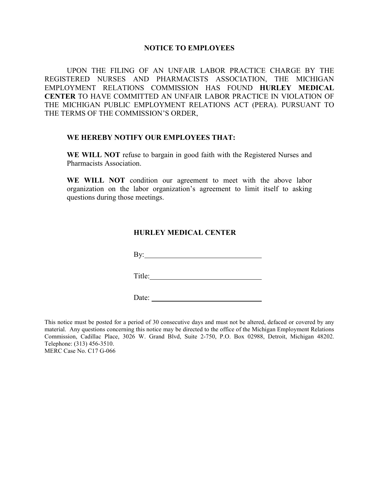### **NOTICE TO EMPLOYEES**

UPON THE FILING OF AN UNFAIR LABOR PRACTICE CHARGE BY THE REGISTERED NURSES AND PHARMACISTS ASSOCIATION, THE MICHIGAN EMPLOYMENT RELATIONS COMMISSION HAS FOUND **HURLEY MEDICAL CENTER** TO HAVE COMMITTED AN UNFAIR LABOR PRACTICE IN VIOLATION OF THE MICHIGAN PUBLIC EMPLOYMENT RELATIONS ACT (PERA). PURSUANT TO THE TERMS OF THE COMMISSION'S ORDER,

#### **WE HEREBY NOTIFY OUR EMPLOYEES THAT:**

**WE WILL NOT** refuse to bargain in good faith with the Registered Nurses and Pharmacists Association.

**WE WILL NOT** condition our agreement to meet with the above labor organization on the labor organization's agreement to limit itself to asking questions during those meetings.

### **HURLEY MEDICAL CENTER**

By:

Title: Title:

Date:

This notice must be posted for a period of 30 consecutive days and must not be altered, defaced or covered by any material. Any questions concerning this notice may be directed to the office of the Michigan Employment Relations Commission, Cadillac Place, 3026 W. Grand Blvd, Suite 2-750, P.O. Box 02988, Detroit, Michigan 48202. Telephone: (313) 456-3510.

MERC Case No. C17 G-066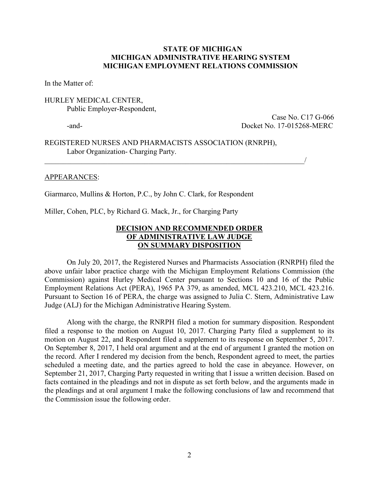## **STATE OF MICHIGAN MICHIGAN ADMINISTRATIVE HEARING SYSTEM MICHIGAN EMPLOYMENT RELATIONS COMMISSION**

In the Matter of:

## HURLEY MEDICAL CENTER, Public Employer-Respondent,

Case No. C17 G-066 -and- Docket No. 17-015268-MERC

REGISTERED NURSES AND PHARMACISTS ASSOCIATION (RNRPH), Labor Organization- Charging Party.

 $\_$ 

#### APPEARANCES:

Giarmarco, Mullins & Horton, P.C., by John C. Clark, for Respondent

Miller, Cohen, PLC, by Richard G. Mack, Jr., for Charging Party

## **DECISION AND RECOMMENDED ORDER OF ADMINISTRATIVE LAW JUDGE ON SUMMARY DISPOSITION**

On July 20, 2017, the Registered Nurses and Pharmacists Association (RNRPH) filed the above unfair labor practice charge with the Michigan Employment Relations Commission (the Commission) against Hurley Medical Center pursuant to Sections 10 and 16 of the Public Employment Relations Act (PERA), 1965 PA 379, as amended, MCL 423.210, MCL 423.216. Pursuant to Section 16 of PERA, the charge was assigned to Julia C. Stern, Administrative Law Judge (ALJ) for the Michigan Administrative Hearing System.

Along with the charge, the RNRPH filed a motion for summary disposition. Respondent filed a response to the motion on August 10, 2017. Charging Party filed a supplement to its motion on August 22, and Respondent filed a supplement to its response on September 5, 2017. On September 8, 2017, I held oral argument and at the end of argument I granted the motion on the record. After I rendered my decision from the bench, Respondent agreed to meet, the parties scheduled a meeting date, and the parties agreed to hold the case in abeyance. However, on September 21, 2017, Charging Party requested in writing that I issue a written decision. Based on facts contained in the pleadings and not in dispute as set forth below, and the arguments made in the pleadings and at oral argument I make the following conclusions of law and recommend that the Commission issue the following order.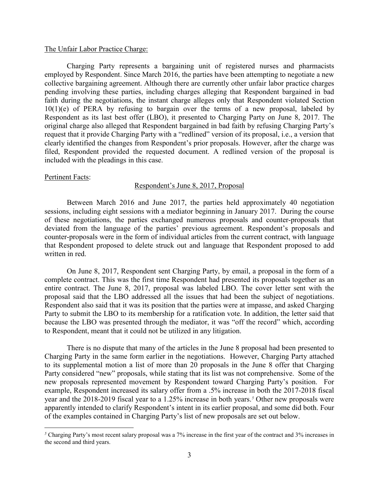### The Unfair Labor Practice Charge:

Charging Party represents a bargaining unit of registered nurses and pharmacists employed by Respondent. Since March 2016, the parties have been attempting to negotiate a new collective bargaining agreement. Although there are currently other unfair labor practice charges pending involving these parties, including charges alleging that Respondent bargained in bad faith during the negotiations, the instant charge alleges only that Respondent violated Section  $10(1)(e)$  of PERA by refusing to bargain over the terms of a new proposal, labeled by Respondent as its last best offer (LBO), it presented to Charging Party on June 8, 2017. The original charge also alleged that Respondent bargained in bad faith by refusing Charging Party's request that it provide Charging Party with a "redlined" version of its proposal, i.e., a version that clearly identified the changes from Respondent's prior proposals. However, after the charge was filed, Respondent provided the requested document. A redlined version of the proposal is included with the pleadings in this case.

#### Pertinent Facts:

 $\overline{a}$ 

#### Respondent's June 8, 2017, Proposal

Between March 2016 and June 2017, the parties held approximately 40 negotiation sessions, including eight sessions with a mediator beginning in January 2017. During the course of these negotiations, the parties exchanged numerous proposals and counter-proposals that deviated from the language of the parties' previous agreement. Respondent's proposals and counter-proposals were in the form of individual articles from the current contract, with language that Respondent proposed to delete struck out and language that Respondent proposed to add written in red.

On June 8, 2017, Respondent sent Charging Party, by email, a proposal in the form of a complete contract. This was the first time Respondent had presented its proposals together as an entire contract. The June 8, 2017, proposal was labeled LBO. The cover letter sent with the proposal said that the LBO addressed all the issues that had been the subject of negotiations. Respondent also said that it was its position that the parties were at impasse, and asked Charging Party to submit the LBO to its membership for a ratification vote. In addition, the letter said that because the LBO was presented through the mediator, it was "off the record" which, according to Respondent, meant that it could not be utilized in any litigation.

There is no dispute that many of the articles in the June 8 proposal had been presented to Charging Party in the same form earlier in the negotiations. However, Charging Party attached to its supplemental motion a list of more than 20 proposals in the June 8 offer that Charging Party considered "new" proposals, while stating that its list was not comprehensive. Some of the new proposals represented movement by Respondent toward Charging Party's position. For example, Respondent increased its salary offer from a .5% increase in both the 2017-2018 fiscal year and the 2018-2019 fiscal year to a 1.25% increase in both years.*[5](#page-19-0)* Other new proposals were apparently intended to clarify Respondent's intent in its earlier proposal, and some did both. Four of the examples contained in Charging Party's list of new proposals are set out below.

<span id="page-19-0"></span><sup>&</sup>lt;sup>5</sup> Charging Party's most recent salary proposal was a 7% increase in the first year of the contract and 3% increases in the second and third years.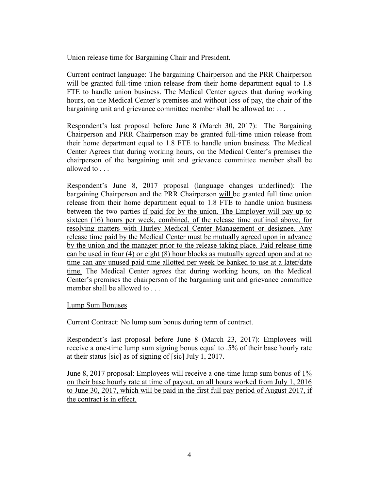## Union release time for Bargaining Chair and President.

Current contract language: The bargaining Chairperson and the PRR Chairperson will be granted full-time union release from their home department equal to 1.8 FTE to handle union business. The Medical Center agrees that during working hours, on the Medical Center's premises and without loss of pay, the chair of the bargaining unit and grievance committee member shall be allowed to: . . .

Respondent's last proposal before June 8 (March 30, 2017): The Bargaining Chairperson and PRR Chairperson may be granted full-time union release from their home department equal to 1.8 FTE to handle union business. The Medical Center Agrees that during working hours, on the Medical Center's premises the chairperson of the bargaining unit and grievance committee member shall be allowed to . . .

Respondent's June 8, 2017 proposal (language changes underlined): The bargaining Chairperson and the PRR Chairperson will be granted full time union release from their home department equal to 1.8 FTE to handle union business between the two parties if paid for by the union. The Employer will pay up to sixteen (16) hours per week, combined, of the release time outlined above, for resolving matters with Hurley Medical Center Management or designee. Any release time paid by the Medical Center must be mutually agreed upon in advance by the union and the manager prior to the release taking place. Paid release time can be used in four (4) or eight (8) hour blocks as mutually agreed upon and at no time can any unused paid time allotted per week be banked to use at a later/date time. The Medical Center agrees that during working hours, on the Medical Center's premises the chairperson of the bargaining unit and grievance committee member shall be allowed to . . .

## Lump Sum Bonuses

Current Contract: No lump sum bonus during term of contract.

Respondent's last proposal before June 8 (March 23, 2017): Employees will receive a one-time lump sum signing bonus equal to .5% of their base hourly rate at their status [sic] as of signing of [sic] July 1, 2017.

June 8, 2017 proposal: Employees will receive a one-time lump sum bonus of 1% on their base hourly rate at time of payout, on all hours worked from July 1, 2016 to June 30, 2017, which will be paid in the first full pay period of August 2017, if the contract is in effect.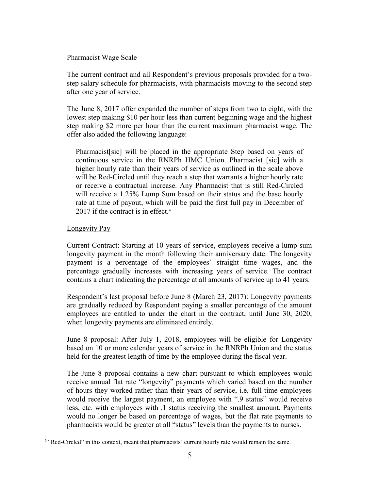## Pharmacist Wage Scale

The current contract and all Respondent's previous proposals provided for a twostep salary schedule for pharmacists, with pharmacists moving to the second step after one year of service.

The June 8, 2017 offer expanded the number of steps from two to eight, with the lowest step making \$10 per hour less than current beginning wage and the highest step making \$2 more per hour than the current maximum pharmacist wage. The offer also added the following language:

Pharmacist[sic] will be placed in the appropriate Step based on years of continuous service in the RNRPh HMC Union. Pharmacist [sic] with a higher hourly rate than their years of service as outlined in the scale above will be Red-Circled until they reach a step that warrants a higher hourly rate or receive a contractual increase. Any Pharmacist that is still Red-Circled will receive a 1.25% Lump Sum based on their status and the base hourly rate at time of payout, which will be paid the first full pay in December of 2017 if the contract is in effect.*[6](#page-21-0)*

## Longevity Pay

 $\overline{a}$ 

Current Contract: Starting at 10 years of service, employees receive a lump sum longevity payment in the month following their anniversary date. The longevity payment is a percentage of the employees' straight time wages, and the percentage gradually increases with increasing years of service. The contract contains a chart indicating the percentage at all amounts of service up to 41 years.

Respondent's last proposal before June 8 (March 23, 2017): Longevity payments are gradually reduced by Respondent paying a smaller percentage of the amount employees are entitled to under the chart in the contract, until June 30, 2020, when longevity payments are eliminated entirely.

June 8 proposal: After July 1, 2018, employees will be eligible for Longevity based on 10 or more calendar years of service in the RNRPh Union and the status held for the greatest length of time by the employee during the fiscal year.

The June 8 proposal contains a new chart pursuant to which employees would receive annual flat rate "longevity" payments which varied based on the number of hours they worked rather than their years of service, i.e. full-time employees would receive the largest payment, an employee with ".9 status" would receive less, etc. with employees with .1 status receiving the smallest amount. Payments would no longer be based on percentage of wages, but the flat rate payments to pharmacists would be greater at all "status" levels than the payments to nurses.

<span id="page-21-0"></span><sup>&</sup>lt;sup>6</sup> "Red-Circled" in this context, meant that pharmacists' current hourly rate would remain the same.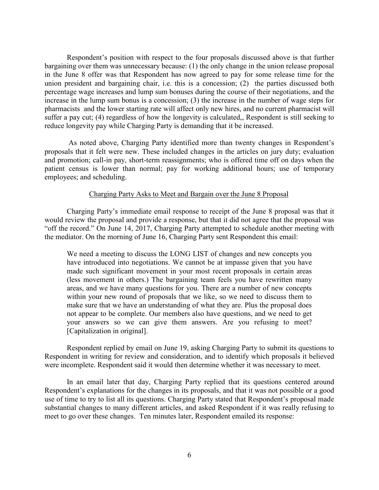Respondent's position with respect to the four proposals discussed above is that further bargaining over them was unnecessary because: (1) the only change in the union release proposal in the June 8 offer was that Respondent has now agreed to pay for some release time for the union president and bargaining chair, i.e. this is a concession; (2) the parties discussed both percentage wage increases and lump sum bonuses during the course of their negotiations, and the increase in the lump sum bonus is a concession; (3) the increase in the number of wage steps for pharmacists and the lower starting rate will affect only new hires, and no current pharmacist will suffer a pay cut; (4) regardless of how the longevity is calculated,, Respondent is still seeking to reduce longevity pay while Charging Party is demanding that it be increased.

As noted above, Charging Party identified more than twenty changes in Respondent's proposals that it felt were new. These included changes in the articles on jury duty; evaluation and promotion; call-in pay, short-term reassignments; who is offered time off on days when the patient census is lower than normal; pay for working additional hours; use of temporary employees; and scheduling.

#### Charging Party Asks to Meet and Bargain over the June 8 Proposal

Charging Party's immediate email response to receipt of the June 8 proposal was that it would review the proposal and provide a response, but that it did not agree that the proposal was "off the record." On June 14, 2017, Charging Party attempted to schedule another meeting with the mediator. On the morning of June 16, Charging Party sent Respondent this email:

We need a meeting to discuss the LONG LIST of changes and new concepts you have introduced into negotiations. We cannot be at impasse given that you have made such significant movement in your most recent proposals in certain areas (less movement in others.) The bargaining team feels you have rewritten many areas, and we have many questions for you. There are a number of new concepts within your new round of proposals that we like, so we need to discuss them to make sure that we have an understanding of what they are. Plus the proposal does not appear to be complete. Our members also have questions, and we need to get your answers so we can give them answers. Are you refusing to meet? [Capitalization in original].

Respondent replied by email on June 19, asking Charging Party to submit its questions to Respondent in writing for review and consideration, and to identify which proposals it believed were incomplete. Respondent said it would then determine whether it was necessary to meet.

In an email later that day, Charging Party replied that its questions centered around Respondent's explanations for the changes in its proposals, and that it was not possible or a good use of time to try to list all its questions. Charging Party stated that Respondent's proposal made substantial changes to many different articles, and asked Respondent if it was really refusing to meet to go over these changes. Ten minutes later, Respondent emailed its response: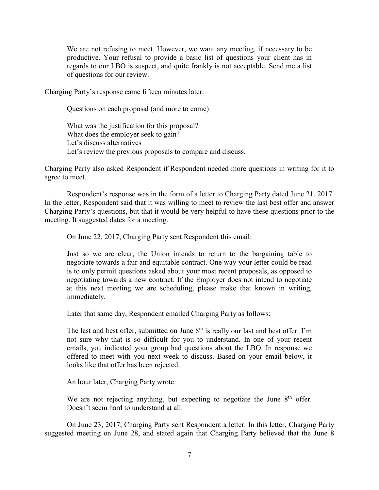We are not refusing to meet. However, we want any meeting, if necessary to be productive. Your refusal to provide a basic list of questions your client has in regards to our LBO is suspect, and quite frankly is not acceptable. Send me a list of questions for our review.

Charging Party's response came fifteen minutes later:

Questions on each proposal (and more to come)

What was the justification for this proposal? What does the employer seek to gain? Let's discuss alternatives Let's review the previous proposals to compare and discuss.

Charging Party also asked Respondent if Respondent needed more questions in writing for it to agree to meet.

Respondent's response was in the form of a letter to Charging Party dated June 21, 2017. In the letter, Respondent said that it was willing to meet to review the last best offer and answer Charging Party's questions, but that it would be very helpful to have these questions prior to the meeting. It suggested dates for a meeting.

On June 22, 2017, Charging Party sent Respondent this email:

Just so we are clear, the Union intends to return to the bargaining table to negotiate towards a fair and equitable contract. One way your letter could be read is to only permit questions asked about your most recent proposals, as opposed to negotiating towards a new contract. If the Employer does not intend to negotiate at this next meeting we are scheduling, please make that known in writing, immediately.

Later that same day, Respondent emailed Charging Party as follows:

The last and best offer, submitted on June  $8<sup>th</sup>$  is really our last and best offer. I'm not sure why that is so difficult for you to understand. In one of your recent emails, you indicated your group had questions about the LBO. In response we offered to meet with you next week to discuss. Based on your email below, it looks like that offer has been rejected.

An hour later, Charging Party wrote:

We are not rejecting anything, but expecting to negotiate the June  $8<sup>th</sup>$  offer. Doesn't seem hard to understand at all.

On June 23, 2017, Charging Party sent Respondent a letter. In this letter, Charging Party suggested meeting on June 28, and stated again that Charging Party believed that the June 8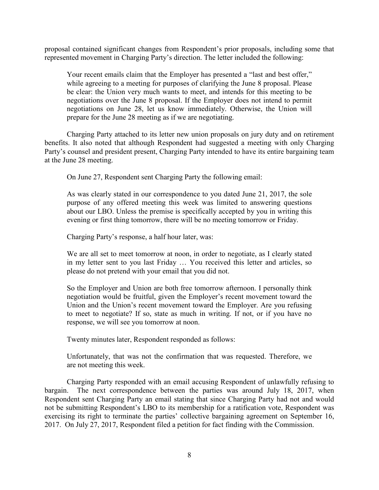proposal contained significant changes from Respondent's prior proposals, including some that represented movement in Charging Party's direction. The letter included the following:

Your recent emails claim that the Employer has presented a "last and best offer," while agreeing to a meeting for purposes of clarifying the June 8 proposal. Please be clear: the Union very much wants to meet, and intends for this meeting to be negotiations over the June 8 proposal. If the Employer does not intend to permit negotiations on June 28, let us know immediately. Otherwise, the Union will prepare for the June 28 meeting as if we are negotiating.

Charging Party attached to its letter new union proposals on jury duty and on retirement benefits. It also noted that although Respondent had suggested a meeting with only Charging Party's counsel and president present, Charging Party intended to have its entire bargaining team at the June 28 meeting.

On June 27, Respondent sent Charging Party the following email:

As was clearly stated in our correspondence to you dated June 21, 2017, the sole purpose of any offered meeting this week was limited to answering questions about our LBO. Unless the premise is specifically accepted by you in writing this evening or first thing tomorrow, there will be no meeting tomorrow or Friday.

Charging Party's response, a half hour later, was:

We are all set to meet tomorrow at noon, in order to negotiate, as I clearly stated in my letter sent to you last Friday … You received this letter and articles, so please do not pretend with your email that you did not.

So the Employer and Union are both free tomorrow afternoon. I personally think negotiation would be fruitful, given the Employer's recent movement toward the Union and the Union's recent movement toward the Employer. Are you refusing to meet to negotiate? If so, state as much in writing. If not, or if you have no response, we will see you tomorrow at noon.

Twenty minutes later, Respondent responded as follows:

Unfortunately, that was not the confirmation that was requested. Therefore, we are not meeting this week.

Charging Party responded with an email accusing Respondent of unlawfully refusing to bargain. The next correspondence between the parties was around July 18, 2017, when Respondent sent Charging Party an email stating that since Charging Party had not and would not be submitting Respondent's LBO to its membership for a ratification vote, Respondent was exercising its right to terminate the parties' collective bargaining agreement on September 16, 2017. On July 27, 2017, Respondent filed a petition for fact finding with the Commission.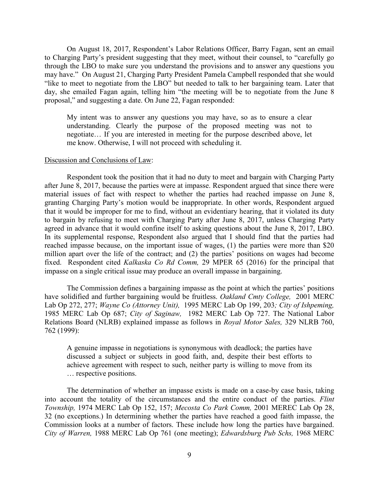On August 18, 2017, Respondent's Labor Relations Officer, Barry Fagan, sent an email to Charging Party's president suggesting that they meet, without their counsel, to "carefully go through the LBO to make sure you understand the provisions and to answer any questions you may have." On August 21, Charging Party President Pamela Campbell responded that she would "like to meet to negotiate from the LBO" but needed to talk to her bargaining team. Later that day, she emailed Fagan again, telling him "the meeting will be to negotiate from the June 8 proposal," and suggesting a date. On June 22, Fagan responded:

My intent was to answer any questions you may have, so as to ensure a clear understanding. Clearly the purpose of the proposed meeting was not to negotiate… If you are interested in meeting for the purpose described above, let me know. Otherwise, I will not proceed with scheduling it.

#### Discussion and Conclusions of Law:

Respondent took the position that it had no duty to meet and bargain with Charging Party after June 8, 2017, because the parties were at impasse. Respondent argued that since there were material issues of fact with respect to whether the parties had reached impasse on June 8, granting Charging Party's motion would be inappropriate. In other words, Respondent argued that it would be improper for me to find, without an evidentiary hearing, that it violated its duty to bargain by refusing to meet with Charging Party after June 8, 2017, unless Charging Party agreed in advance that it would confine itself to asking questions about the June 8, 2017, LBO. In its supplemental response, Respondent also argued that I should find that the parties had reached impasse because, on the important issue of wages, (1) the parties were more than \$20 million apart over the life of the contract; and (2) the parties' positions on wages had become fixed. Respondent cited *Kalkaska Co Rd Comm,* 29 MPER 65 (2016) for the principal that impasse on a single critical issue may produce an overall impasse in bargaining.

The Commission defines a bargaining impasse as the point at which the parties' positions have solidified and further bargaining would be fruitless. *Oakland Cmty College,* 2001 MERC Lab Op 272, 277; *Wayne Co (Attorney Unit),* 1995 MERC Lab Op 199, 203*; City of Ishpeming,* 1985 MERC Lab Op 687; *City of Saginaw,* 1982 MERC Lab Op 727. The National Labor Relations Board (NLRB) explained impasse as follows in *Royal Motor Sales,* 329 NLRB 760, 762 (1999):

A genuine impasse in negotiations is synonymous with deadlock; the parties have discussed a subject or subjects in good faith, and, despite their best efforts to achieve agreement with respect to such, neither party is willing to move from its … respective positions.

The determination of whether an impasse exists is made on a case-by case basis, taking into account the totality of the circumstances and the entire conduct of the parties. *Flint Township,* 1974 MERC Lab Op 152, 157; *Mecosta Co Park Comm,* 2001 MEREC Lab Op 28, 32 (no exceptions.) In determining whether the parties have reached a good faith impasse, the Commission looks at a number of factors. These include how long the parties have bargained. *City of Warren,* 1988 MERC Lab Op 761 (one meeting); *Edwardsburg Pub Schs,* 1968 MERC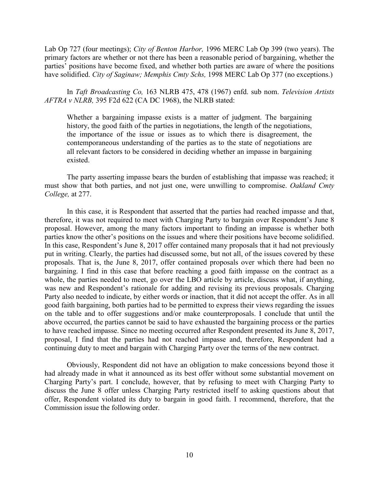Lab Op 727 (four meetings); *City of Benton Harbor,* 1996 MERC Lab Op 399 (two years). The primary factors are whether or not there has been a reasonable period of bargaining, whether the parties' positions have become fixed, and whether both parties are aware of where the positions have solidified. *City of Saginaw; Memphis Cmty Schs,* 1998 MERC Lab Op 377 (no exceptions.)

In *Taft Broadcasting Co,* 163 NLRB 475, 478 (1967) enfd. sub nom. *Television Artists AFTRA v NLRB,* 395 F2d 622 (CA DC 1968), the NLRB stated:

Whether a bargaining impasse exists is a matter of judgment. The bargaining history, the good faith of the parties in negotiations, the length of the negotiations, the importance of the issue or issues as to which there is disagreement, the contemporaneous understanding of the parties as to the state of negotiations are all relevant factors to be considered in deciding whether an impasse in bargaining existed.

The party asserting impasse bears the burden of establishing that impasse was reached; it must show that both parties, and not just one, were unwilling to compromise. *Oakland Cmty College,* at 277.

In this case, it is Respondent that asserted that the parties had reached impasse and that, therefore, it was not required to meet with Charging Party to bargain over Respondent's June 8 proposal. However, among the many factors important to finding an impasse is whether both parties know the other's positions on the issues and where their positions have become solidified. In this case, Respondent's June 8, 2017 offer contained many proposals that it had not previously put in writing. Clearly, the parties had discussed some, but not all, of the issues covered by these proposals. That is, the June 8, 2017, offer contained proposals over which there had been no bargaining. I find in this case that before reaching a good faith impasse on the contract as a whole, the parties needed to meet, go over the LBO article by article, discuss what, if anything, was new and Respondent's rationale for adding and revising its previous proposals. Charging Party also needed to indicate, by either words or inaction, that it did not accept the offer. As in all good faith bargaining, both parties had to be permitted to express their views regarding the issues on the table and to offer suggestions and/or make counterproposals. I conclude that until the above occurred, the parties cannot be said to have exhausted the bargaining process or the parties to have reached impasse. Since no meeting occurred after Respondent presented its June 8, 2017, proposal, I find that the parties had not reached impasse and, therefore, Respondent had a continuing duty to meet and bargain with Charging Party over the terms of the new contract.

Obviously, Respondent did not have an obligation to make concessions beyond those it had already made in what it announced as its best offer without some substantial movement on Charging Party's part. I conclude, however, that by refusing to meet with Charging Party to discuss the June 8 offer unless Charging Party restricted itself to asking questions about that offer, Respondent violated its duty to bargain in good faith. I recommend, therefore, that the Commission issue the following order.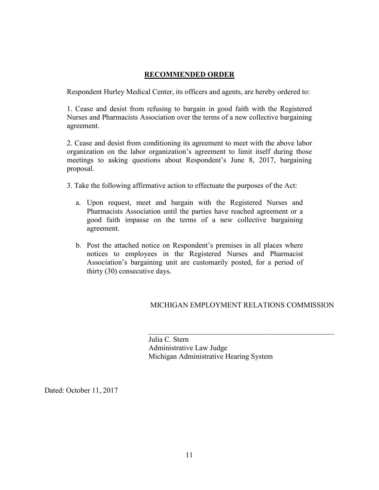# **RECOMMENDED ORDER**

Respondent Hurley Medical Center, its officers and agents, are hereby ordered to:

1. Cease and desist from refusing to bargain in good faith with the Registered Nurses and Pharmacists Association over the terms of a new collective bargaining agreement.

2. Cease and desist from conditioning its agreement to meet with the above labor organization on the labor organization's agreement to limit itself during those meetings to asking questions about Respondent's June 8, 2017, bargaining proposal.

3. Take the following affirmative action to effectuate the purposes of the Act:

- a. Upon request, meet and bargain with the Registered Nurses and Pharmacists Association until the parties have reached agreement or a good faith impasse on the terms of a new collective bargaining agreement.
- b. Post the attached notice on Respondent's premises in all places where notices to employees in the Registered Nurses and Pharmacist Association's bargaining unit are customarily posted, for a period of thirty (30) consecutive days.

## MICHIGAN EMPLOYMENT RELATIONS COMMISSION

 $\overline{\mathcal{L}}$  , and the contribution of the contribution of  $\overline{\mathcal{L}}$ 

 Julia C. Stern Administrative Law Judge Michigan Administrative Hearing System

Dated: October 11, 2017